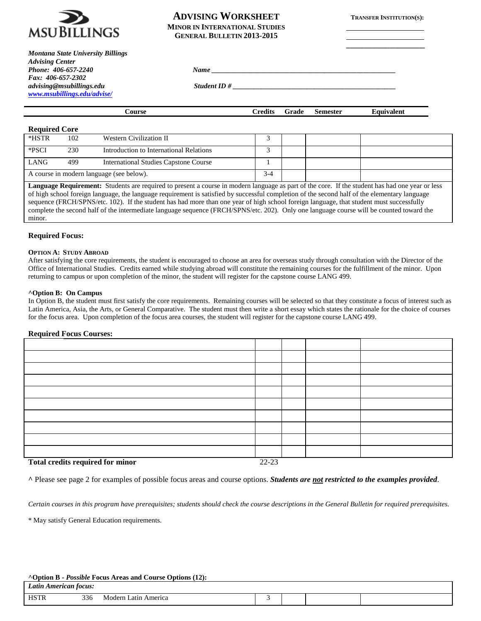

# **ADVISING WORKSHEET TRANSFER INSTITUTION(S): MINOR IN INTERNATIONAL STUDIES GENERAL BULLETIN 2013-2015**

**\_\_\_\_\_\_\_\_\_\_\_\_\_\_\_\_\_\_\_\_**

| Montana State University Billings |             |  |
|-----------------------------------|-------------|--|
| <b>Advising Center</b>            |             |  |
| Phone: 406-657-2240               | <b>Name</b> |  |
| Fax: 406-657-2302                 |             |  |
| advising@msubillings.edu          | Student ID# |  |
| www.msubillings.edu/advise/       |             |  |

| Course | Credits | Grade | <b>Semester</b> | Equivalent |
|--------|---------|-------|-----------------|------------|

# **Required Core**

| *HSTR                                                                                                                                           | 102 | Western Civilization II                 |     |  |  |
|-------------------------------------------------------------------------------------------------------------------------------------------------|-----|-----------------------------------------|-----|--|--|
| *PSCI                                                                                                                                           | 230 | Introduction to International Relations |     |  |  |
| <b>LANG</b>                                                                                                                                     | 499 | International Studies Capstone Course   |     |  |  |
| A course in modern language (see below).                                                                                                        |     |                                         | 3-4 |  |  |
| Language Requirement: Students are required to present a course in modern language as part of the core. If the student has had one year or less |     |                                         |     |  |  |

of high school foreign language, the language requirement is satisfied by successful completion of the second half of the elementary language sequence (FRCH/SPNS/etc. 102). If the student has had more than one year of high school foreign language, that student must successfully complete the second half of the intermediate language sequence (FRCH/SPNS/etc. 202). Only one language course will be counted toward the minor.

## **Required Focus:**

#### **OPTION A: STUDY ABROAD**

After satisfying the core requirements, the student is encouraged to choose an area for overseas study through consultation with the Director of the Office of International Studies. Credits earned while studying abroad will constitute the remaining courses for the fulfillment of the minor. Upon returning to campus or upon completion of the minor, the student will register for the capstone course LANG 499.

## **^Option B: On Campus**

In Option B, the student must first satisfy the core requirements. Remaining courses will be selected so that they constitute a focus of interest such as Latin America, Asia, the Arts, or General Comparative. The student must then write a short essay which states the rationale for the choice of courses for the focus area. Upon completion of the focus area courses, the student will register for the capstone course LANG 499.

# **Required Focus Courses:**

| $\mathbf{F}$ , $\mathbf{A}$ , $\mathbf{I}$ , $\mathbf{A}$ , $\mathbf{A}$ , $\mathbf{A}$ , $\mathbf{A}$ , $\mathbf{A}$ , $\mathbf{A}$ , $\mathbf{A}$ , $\mathbf{A}$ , $\mathbf{A}$ , $\mathbf{A}$ , $\mathbf{A}$ , $\mathbf{A}$ , $\mathbf{A}$ , $\mathbf{A}$ , $\mathbf{A}$ , $\mathbf{A}$ , $\mathbf{A}$ , | 22.22 |  |  |
|-------------------------------------------------------------------------------------------------------------------------------------------------------------------------------------------------------------------------------------------------------------------------------------------------------------|-------|--|--|

**Total credits required for minor** 22-23

**^** Please see page 2 for examples of possible focus areas and course options. *Students are not restricted to the examples provided*.

*Certain courses in this program have prerequisites; students should check the course descriptions in the General Bulletin for required prerequisites.*

\* May satisfy General Education requirements.

## **^Option B -** *Possible* **Focus Areas and Course Options (12):**

| Latin<br>American focus:<br>. |     |                           |  |  |  |  |
|-------------------------------|-----|---------------------------|--|--|--|--|
| <b>HSTR</b>                   | 336 | Modern<br>. Latın America |  |  |  |  |